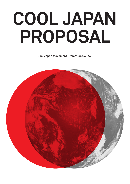# **COOL JAPAN PROPOSAL**

**Cool Japan Movement Promotion Council**

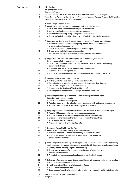#### **Contents**

**2 Introduction**

**7 8**

**9 9 10**

**12**

**13**

**15**

**15**

**18**

**19 19**

**20**

**28**

**29**

- **3 Designing Cool Japan**
- **4 Cool Japan Mission**
- **5 Japan, a Country That Provides Creative Solutions to the World**'**s Challenges**
- **6 Three Steps to Achieving the Mission of Cool Japan:** "**making Japan a Country that Provides Creative Solutions to the World**'**s Challenges**"
	- **Promoting Domestic Growth**
	- **Acquiring skills for active communication with people overseas**
	- **1 Hold Cool Japan classes that are enjoyable for children.**
	- **2 Improve the Cool Japan overseas study programs.**
	- **3 Promote broadcasting using an English sub-audio channel.**
- **4 Create an English-speaking district where English is the official language. 10**
- **11 <b>B** Removing barriers to creativity and creating the trend of taking on challenges
	- **1 Promote the active recruitment of young people by Japanese companies and generational succession.**
- **2 Create a system of listeners to opinions on Cool Japan. 12**
	- **3 Encourage creativity through deregulation.**
- **4 Establish a Cool Japan intellectual property consultation center. 13**
- **14 Supporting free attempts and cooperation without being restricted by a hierarchical structure or past examples**
	- **1 Take on the challenge of new business based on creative cooperation among government offices.**
	- **2 Promote a platform for government office cooperation.**
- **3 Support in-house entrepreneurs. 16**
- **4 Support 100 new businesses that tackle issues facing Japan and the world. 16**
- **17 Connecting Japan and Other Countries** 
	- *D* Developing a better public image of Japan in the world
	- **1 Establish Japan**'**s brand image and increase its overseas distribution.**
	- **2 Create a new slogan that will replace Cool Japan.**
- **3 Disseminate the display of** "**Designed in Japan.**" **20**
	- **4 Review procurement to increase the government**'**s creativity.**
- **21**  $\bullet$  Increasing the mobility of information and cultural products of Japan  **in the international community**
- **1 Create Japan**'**s inbound web portal. 22**
- **2 Translate signs at tourist sites into many languages with a pleasing appearance. 22**
- **3 Support the translation of information given in Japanese. 23**
- **24 Adopting overseas perspectives to discover the essential attractiveness of Japan**
	- **1 Appoint 100 partners who have an overseas perspective.**
	- **2 Appoint Japanese persons working in the world as ambassadors.**
	- **3 Understand and visualize the view of Japan from other countries, and expectations from Japan.** 
		- **4 Analyze the demands of foreign tourists.**
- **27 Becoming Japan That Helps the World**
	- **Personalizing the issues facing Japan and the world**
	- **1 Visualize information on the issues facing Japan and the world.**
- **2 Present the government**'**s open data and incorporate design into government documents. 29**
- **30 <sup><b>**</sup> Promoting industries through which Japan could contribute to the world in addressing  **such issues as environmental problems, a declining birthrate, and an aging population**
- **1 Match problem-solving projects and creativity. 31**
- **2 Create an environment for the commercialization of ideas that will contribute to the world. 31**
- **3 Promote the overseas expansion of problem-solving businesses. 32**
- **33 <sup>** $\bullet$ **</sup>** Delivering information on ancient Japanese philosophy that values sustainability and harmony
- **1 Build JAPAN LABO across Japan. 34**
- **2 Hold international handicrafts festivals in Japan. 34**
- **3 Build a Japan design museum. 35**
	- **4 Expand Japan**'**s cultivation of aesthetic sentiments enjoyed by children to the world.**
- **36 Cool Japan Movement Promotion Council**
- **37 Colophon**

**35**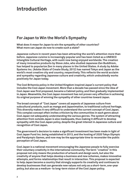### **Introduction**

### **For Japan to Win the World**'**s Sympathy**

**What does it mean for Japan to win the sympathy of other countries? What more can Japan do now to create such a state?** 

**Japanese culture in recent years has been attracting the world**'**s attention more than before. Japanese cuisine is increasingly popular and has been listed as a UNESCO Intangible Cultural Heritage, with sushi now being enjoyed worldwide. The creation of many innovative products by Steve Jobs, who studied Japanese Zen Buddhism, has helped to popularize Zen in many places in the United States. A study by Adobe Systems Inc. (Adobe State of Create Study, 2012) has named Tokyo and Japan as the world**'**s most creative city and country, respectively. This reflects the world acclaim and sympathy regarding Japanese culture and creativity, which undoubtedly works positively for Japan today.** 

**The Cool Britannia policy in the United Kingdom inspired Japan**'**s current policy that includes the Cool Japan movement. More than a decade has passed since the idea of Cool Japan was first proposed, became a Cabinet policy, and then gradually implemented in Japan. Meanwhile, the Cool Japan movement has not proven very effective in achieving its original purpose of winning the sympathy of other countries toward Japan.** 

**The broad concept of** "**Cool Japan**" **covers all aspects of Japanese culture from subcultural products, such as manga and Japanimation, to traditional cultural heritage. This diversity makes it very difficult to understand the current concept of Cool Japan. This complex concept often invites criticism by the communities in each genre about Cool Japan not adequately understanding the various genres. The system of attracting attention from outside Japan is also inadequate, thus making it difficult to develop sympathy with the Cool Japan policy, despite the great interest in Japanese culture and recognition of Cool Japan.** 

**The government**'**s decision to make a significant investment has been made in light of Cool Japan Fund Inc. being established in 2013, and the hosting of 2020 Tokyo Olympic and Paralympic Games, and now may be the appropriate time to reconsider the public perception of Cool Japan.** 

**Cool Japan is a national movement encouraging the Japanese people to fully exercise their voluntary creativity in the international community. The term** "**creative**" **in this proposal not only means the production of artwork and design work, but also the creativity of anyone that helps develop a business and new schemes, makes innovative attempts, and forms relationships that result in interaction. This proposal is expected to help Japan become a country that strongly supports its creativity and continues to develop businesses that can generate new values not only as a short-term, one-year policy, but also as a medium- to long-term vision of the Cool Japan policy.**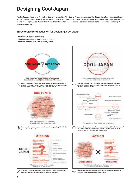### **Designing Cool Japan**

**The Cool Japan Movement Promotion Council (hereinafter** "**the Council**"**) has reconsidered the three principles**̶**what Cool Japan is all about (definition), what is the purpose of Cool Japan (mission), and what can be done with Cool Japan (action)**̶**based on the theme of**"**designing Cool Japan.**" **The Council has thus attempted to seek a clear basis of thinking to adopt when promoting Cool Japan in the future.** 

#### **Three topics for discussion for designing Cool Japan**

- **· What is Cool Japan? (definition)**
- **· What is the purpose of Cool Japan? (mission)**
- **· What can be done with Cool Japan? (action)**



Journmetters at notal arms! **CARL AREA** What the mission of Cool Japan should be is discussed.

**Christma** 

**In addition, the Council selected social issues in and outside Japan, and discussed the mission of Cool Japan relative to its purpose.** 

Combination of cultural elements and

the mission creater activities.

**MISSION** 

**CONTENTS**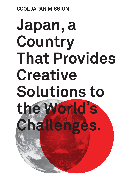## **COOL JAPAN MISSION**

# **Japan, a Country That Provides Creative Solutions to the World**' **s Challenges.**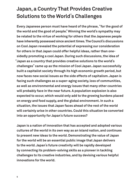## **Japan, a Country That Provides Creative Solutions to the World**'**s Challenges**

**Every Japanese person must have heard of the phrase,** "**for the good of the world and the good of people.**" **Winning the world**'**s sympathy may be related to the virtue of working for others that the Japanese people have inherently possessed since ancient times. The Council**'**s discussions on Cool Japan revealed the potential of expressing our consideration for others in that Japan could offer helpful ideas, rather than onesidedly promoting a cool Japan. During such discussions, the idea of**  "**Japan as a country that provides creative solutions to the world**'**s challenges**" **came up as the mission of Cool Japan. Japan successfully built a capitalist society through its high economic growth period, but now faces new social issues as the side effects of capitalism. Japan is facing such challenges as a super-aging society, loss of communities, as well as environmental and energy issues that many other countries will probably face in the near future. A population explosion is also expected to occur, which would only add to the growing burdens placed on energy and food supply, and the global environment. In such a situation, the issues that Japan faces ahead of the rest of the world will certainly arise in other countries. Could this situation be converted into an opportunity for Japan**'**s future success?** 

**Japan is a nation of innovation that has accepted and adopted various cultures of the world in its own way as an island nation, and continues to present new ideas to the world. Demonstrating the value of Japan for the world will be an essential public image that Japan delivers to the world. Japan**'**s future creativity will be rapidly developed by connecting its problem-solving skills as a pioneer in tackling challenges to its creative industries, and by devising various helpful innovations for the world.**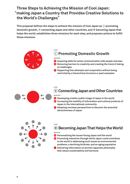### **Three Steps to Achieving the Mission of Cool Japan:**  "**making Japan a Country that Provides Creative Solutions to the World**'**s Challenges**"

This proposal defines the steps to achieve the mission of Cool Japan as **D** promoting domestic growth,  $\circledR$  connecting Japan and other countries, and  $\circledR$  becoming Japan that **helps the world, establishes three missions for each step, and proposes actions to fulfill those missions.** 



←

## **Promoting Domestic Growth**

**MI S S I O N**

**S T E P**

- **Acquiring skills for active communication with people overseas**
- **B** Removing barriers to creativity and creating the trend of taking  **on challenges**
- **<b>G** Supporting free attempts and cooperation without being  **restricted by a hierarchical structure or past examples**

#### **S T E P**

#### **Connecting Japan and Other Countries MI S S I O N**

- *D* Developing a better public image of Japan in the world
- $\bullet$  Increasing the mobility of information and cultural products of  **Japan in the international community**
- **Adopting overseas perspectives to discover the essential attractiveness of Japan**



#### **Becoming Japan That Helps the World S T E P**

#### **MI S S I O N**

- **<b>***C* Personalizing the issues facing Japan and the world
- **Promoting industries through which Japan could contribute to the world in addressing such issues as environmental problems, a declining birthrate, and an aging population**
- **<sup>** $\bullet$ **</sup>** Delivering information on ancient Japanese philosophy  **that values sustainability and harmony**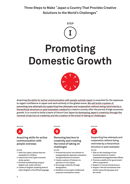**Three Steps to Make** "**Japan a Country That Provides Creative Solutions to the World**'**s Challenges**"



## **Promoting Domestic Growth**



**Acquiring the skills for active communication with people outside Japan is essential for the Japanese to regain confidence in Japan and work actively in the global arena. We will build a system of promoting new attempts by supporting free attempts and cooperation without being restricted by a hierarchical structure or past examples created by a mature society after the period of high economic growth. It is crucial to build a basis of future Cool Japan by developing Japan**'**s creativity through the removal of barriers to creativity and the creation of the trend of taking on challenges.**

#### **MISSION** MISSION MISSION MISSION MISSION



#### **Acquiring skills for active communication with people overseas**

- **1 Hold Cool Japan classes that are enjoyable for children.**
- **2 Improve the Cool Japan overseas study system.**
- **3 Promote broadcasting using an English sub-audio channel.**
- **4 Create an English-speaking district where English is the official language.**

B

#### **Removing barriers to creativity and creating the trend of taking on challenges**

**A C T I ON A C T I ON A C T I ON**

- **1 Promote the active recruitment of young people by Japanese companies and generational succession.**
- **2 Create a system of listeners to opinions on Cool Japan.**
- **3 Encourage creativity through deregulation.**
- **4 Establish a Cool Japan intellectual property consultation center.**

 $\mathbf C$ 

**Supporting free attempts and cooperation without being restricted by a hierarchical structure or past examples**

- **1 Take on the challenge of new business based on creative cooperation among government offices.**
- **2 Promote a platform for government office cooperation.**
- **3 Support in-house entrepreneurs.**
- **4 Support 100 new businesses that tackle issues facing Japan and the world.**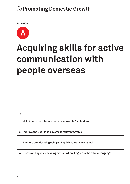**MISSION**



## **Acquiring skills for active communication with people overseas**

**A C T I ON**

**1 Hold Cool Japan classes that are enjoyable for children.** 

**2 Improve the Cool Japan overseas study programs.** 

**3 Promote broadcasting using an English sub-audio channel.**

**4 Create an English-speaking district where English is the official language.**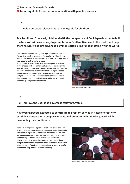#### **Promoting Domestic Growth Acquiring skills for active communication with people overseas**

#### **A C T I ON**

#### **1 Hold Cool Japan classes that are enjoyable for children.**

**Teach children from early childhood with the perspective of Cool Japan in order to build the basis of skills necessary to promote Japan**'**s attractiveness to the world, and help them naturally acquire advanced communication skills for connecting with the world.** 

**Children in elementary and junior high schools discover** "**Cool Japan**" **(i.e., positive aspects of Japan of which they should be proud) all around them, describe it in a report, and then post it on a website for the world to read.** 

**Hold classes where children discuss in English what they think is** "**cool**" **with the children of various countries on the Internet (videophone). Hold competitions where the children present what they have learned in the Cool Japan classes, send the most outstanding students to other countries, and provide them with opportunities to learn more about Cool Japan while communicating with children from local elementary and junior high schools.**



**IMG\_0338 © Colin Ryder 2006**

#### **A C T I ON**

**2 Improve the Cool Japan overseas study programs.** 

**Have young people expected to contribute to problem solving in fields of creativity establish contacts with people overseas, and promote their creative growth while developing their confidence.**

**Send 470 young creative professionals with great potential to study in other countries. Select ten creative professionals from each of Japan**'**s 47 prefectures (for a total of 470) who are engaged in the fields of fashion, construction, arts, etc., and then support their study of overseas creativity. Have them enter at least three domestic or international competitions in their respective fields within five years after returning home from their overseas study, in order to aim for awards and help improve Japan**'**s creativity.**



**Outside Round Photo 1 © Cemre 2005**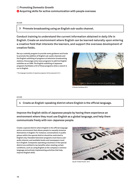#### **Promoting Domestic Growth Acquiring skills for active communication with people overseas**

#### **A C T I ON**

**3 Promote broadcasting using an English sub-audio channel.**

**Conduct training to understand the current information obtained in daily life in English. Create an environment where English can be learned naturally upon entering a creative field that interests the learners, and support the overseas development of creative fields.** 

**Set up a subsidy program to provide some guidance and funds to promote the addition of English sub-audio channels and the English subtitling of programs at television broadcasting stations. Encourage some news programs to add live English subtitles as on CNN. The English subtitling of Japanese programs facilitates a hit of those programs when a search is run in English.** 

**\* The language translation of Japanese programs will be proposed in E-3.**



**© Eisuke Tachikawa 2014**

**A C T I ON**

**4 Create an English-speaking district where English is the official language.**

**Improve the English skills of Japanese people by having them experience an environment where they must use English as a global language, and help them communicate freely with non-Japanese people.**

**Create a special district where English is the official language and an environment that allows people to casually immerse themselves in English. For instance, conversations in public places within the special district should be restricted to English only. Viewable television programs must have a subaudio channel, and available books and newspapers must be in English. Companies operating a business in the special district are entitled to tax benefits when meeting certain conditions, such as using English as the company**'**s common language and actively implementing activities that help improve English skills.** 



**Day 60 © Matt Preston 2012**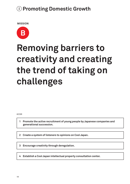**MISSION**



## **Removing barriers to creativity and creating the trend of taking on challenges**

**A C T I ON**

**1 Promote the active recruitment of young people by Japanese companies and generational succession.**

**2 Create a system of listeners to opinions on Cool Japan.**

**3 Encourage creativity through deregulation.**

**4 Establish a Cool Japan intellectual property consultation center.**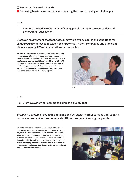#### $\bullet$  **Removing barriers to creativity and creating the trend of taking on challenges**

#### **1 Promote the active recruitment of young people by Japanese companies and generational succession.**

**Create an environment that facilitates innovation by developing the conditions for skilled young employees to exploit their potential in their companies and promoting dialogue among different generations in companies.**

**Facilitate innovation in Japanese industries by promoting the active recruitment of young employees in Japanese companies and the development of an environment where employees with creative skills can exert their abilities. At the same time, improve the foundation of Japan**'**s overall creativity by promoting a dialogue and generational succession in Japanese companies as a national policy to rejuvenate corporate minds in the long run.**



**© aeru**

#### **A C T I ON**

**2 Create a system of listeners to opinions on Cool Japan.**

**Establish a system of collecting opinions on Cool Japan in order to make Cool Japan a national movement and autonomously diffuse the concept among the people.**

**Promote discussions and the autonomous diffusion of Cool Japan, make it a national movement by establishing a system in which Japanese people discuss Cool Japan, and then collect their opinions as a personal matter. For instance, have the people support the promotion of Cool Japan by gathering opinions on Cool Japan through social media, setting up an archive website that allows viewers to post their opinions on Cool Japan, and then preparing an actual place for discussions.**



**A C T I ON**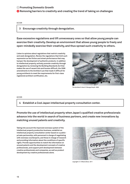#### **<b>B** Removing barriers to creativity and creating the trend of taking on challenges

#### **A C T I ON**

#### **3 Encourage creativity through deregulation.**

**Ease excessive regulations and lift unnecessary ones so that allow young people can exercise their creativity. Develop an environment that allows young people to freely and open-mindedly exercise their creativity, and thus spread such creativity to others.**

**Listen to opinions about regulations that restrict creativity and seek deregulation. Review the regulations that limit such expression as fan fiction and street performance that may hamper the development of authentic products. In addition to intellectual property, actively promote creativity through deregulation by reviewing the Building Standards Act that makes the use of vacant lots and houses difficult, the 2006 amendments to the Architect Law that made it difficult for young architects to meet the requirements for first-class registered architect certification, etc.** 



**The Architect**'**s Hand © George Smyth 2009**

#### **A C T I ON**

**4 Establish a Cool Japan intellectual property consultation center.**

**Promote the use of intellectual property when Japan**'**s qualified creative professionals advance into the world in search of business partners, and create new innovations by matching unused patents and creativity.**

**Taking into account the improved overseas system of the intellectual property production business, establish an intellectual property consultation center based on a publicprivate partnership, with personnel in charge of negotiating with overseas counterparts, and those in charge of research and providing information about the conditions of specific rights. Provide opportunities to match the information on unused patents and the development concepts of creative professionals, and support joint development between creative professionals and companies, as well as product development by creative professionals alone.**



**copyright (1) © Maria Elena 2011**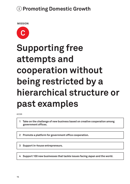**MISSION**



## **Supporting free attempts and cooperation without being restricted by a hierarchical structure or past examples**

**A C T I ON**

**1 Take on the challenge of new business based on creative cooperation among government offices.**

**2 Promote a platform for government office cooperation.**

**3 Support in-house entrepreneurs.**

**4 Support 100 new businesses that tackle issues facing Japan and the world.**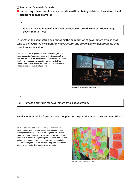#### **C** Supporting free attempts and cooperation without being restricted by a hierarchical  **structure or past examples**

**A C T I ON**

**1 Take on the challenge of new business based on creative cooperation among government offices.**

**Strengthen the connection by promoting the cooperation of government offices that tend to be restricted by a hierarchical structure, and create government projects that have integrated value.**

**Despite a number of government offices working on the same issues simultaneously, communication among them is very poor. Promote the development of projects to facilitate creative problem solving regarding government office cooperation, so as to solve this situation and improve the effectiveness and quality of projects.**



**Social Innovation sessie © Waag Society 2013**

**A C T I ON**

**2 Promote a platform for government office cooperation.**

#### **Build a foundation for free and active cooperation beyond the roles of government offices.**

**Develop communication tools and opportunities for government offices to improve cooperation and create settings to facilitate teamwork among them, in order to combine similar projects carried out by different offices and achieve effective project implementation. Achieve flat and open communication based on various human links that extend beyond the vertical hierarchy, and accelerate inter-government office cooperation projects.** 



**Postit Explosion © mat Walker 2008**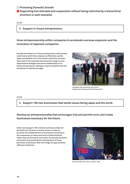#### **C** Supporting free attempts and cooperation without being restricted by a hierarchical  **structure or past examples**

| <u>ACTION</u> |  |  |  |  |  |
|---------------|--|--|--|--|--|
|               |  |  |  |  |  |

**3 Support in-house entrepreneurs.**

**Grow entrepreneurship within companies to accelerate overseas expansion and the innovation of Japanese companies.**

**Provide incentives to in-house entrepreneurs and promote small teams within the company to effectively use the ideas and abilities of on-site workers that have not been fully used in the corporate hierarchy. Encourage a crossdepartmental dialogue and active collaboration of inhouse entrepreneurs, aiming to create innovation that will contribute to national strength.** 



**Greg Barker with Entrepreneur fund winners © Department of Energy and Climate Change 2013**

**A C T I ON**

**4 Support 100 new businesses that tackle issues facing Japan and the world.**

**Develop an entrepreneurship that encourages trial and permits error, and create businesses necessary for the future.** 

**Select and support 100 creative businesses that will facilitate the solution of social issues in order to promote the establishment of businesses focusing on the uniqueness of ideas and level of determination, rather than performance and scale. Accelerate domestic innovation by promoting the development of those particular businesses that will bridge the gap between different industries.** 



**My Favorite TED Talk © Steve Jurvetson 2009**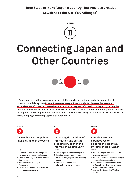**Three Steps to Make** "**Japan a Country That Provides Creative Solutions to the World**'**s Challenges**"



## **Connecting Japan and Other Countries**



**If Cool Japan is a policy to pursue a better relationship between Japan and other countries, it is crucial to build a system to adopt overseas perspectives in order to discover the essential attractiveness of Japan. Increase the opportunities to expose information on Japan by raising the mobility of information and cultural products of Japan in the international community, which tends to be stagnant due to language barriers, and build a better public image of Japan in the world through an active campaign promoting Japan**'**s attractiveness.**

**MISSION** MISSION MISSION MISSION MISSION



#### **Developing a better public image of Japan in the world**

- **1 Establish Japan**'**s brand image and increase its overseas distribution.**
- **2 Create a new slogan that will replace Cool Japan.**
- **3 Disseminate the display of** "**Designed in Japan.**"
- **4 Review procurement to increase the government**'**s creativity.**



#### **A C T I ON A C T I ON A C T I ON Increasing the mobility of information and cultural products of Japan in the international community**

- **1 Create Japan**'**s inbound web portal.**
- **2 Translate signs at tourist sites into many languages with a pleasing appearance.**
- **3 Support the translation of information given in Japanese.**

#### **Adopting overseas perspectives to discover the essential attractiveness of Japan**

- **1 Appoint 100 partners who have an overseas perspective.**
- **2 Appoint Japanese persons working in the world as ambassadors.**
- **3 Understand and visualize the view of Japan from other countries, and expectations from Japan**
- **4 Analyze the demands of foreign tourists.**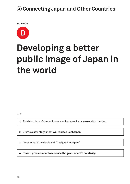**MISSION**



## **Developing a better public image of Japan in the world**

**A C T I ON**

**1 Establish Japan**'**s brand image and increase its overseas distribution.**

**2 Create a new slogan that will replace Cool Japan.**

**3 Disseminate the display of** "**Designed in Japan.**"

**4 Review procurement to increase the government**'**s creativity.**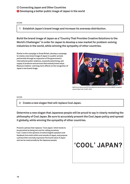$\bullet$  Developing a better public image of Japan in the world

#### **A C T I ON**

**1 Establish Japan**'**s brand image and increase its overseas distribution.**

**Build the brand image of Japan as a**"**Country That Provides Creative Solutions to the World**'**s Challenges**" **in order for Japan to develop a new market for problem-solving industries in the world, while winning the sympathy of other countries.** 

**Similar to the campaign in Great Britain, develop a campaign to create a new brand image of Japan in a public-private partnership through an expansion of the government**'**s international public relations, corporate advertising, and supply of products and services that embody brand value. Measure medium- and long-term effects on the recognition of Japan**'**s new brand image.**



**HRH Prince Harry and UK Prime Minister David Cameron at the GREAT reception event in New York © UKTI 2013**

**A C T I ON**

**2 Create a new slogan that will replace Cool Japan.**

**Determine a new slogan that Japanese people will be proud to say in clearly restating the philosophy of Cool Japan. Be sure to accurately present the Cool Japan policy and spread it globally, while winning the sympathy of other countries.**

**Present a phrase that replaces** "**Cool Japan,**" **which tends to be perceived as being not cool for calling ourselves**  "**cool.**" **Listen to the opinions of native English speakers and feedback from both within and outside of Japan, and propose a phrase that concisely expresses the brand value of Japan and can be used proudly by the Japanese people.** 

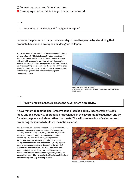#### *D* Developing a better public image of Japan in the world

#### **A C T I ON**

**3 Disseminate the display of** "**Designed in Japan.**"

#### **Increase the presence of Japan as a country of creative people by visualizing that products have been developed and designed in Japan.**

**At present, most of the products of Japanese manufacturers are imprinted with** "**Made in (a country other than Japan).**" **Should such creative elements as design be done in Japan with assembly or manufacturing done in another country, however, be sure to display** "**designed in Japan**" **and** "**made in (another country),**" **and disseminate the practice. In this case, establish rules for such display with domestic manufacturers and industry organizations, and ensure widespread compliance thereof.**



**Designed in Japan © NOSIGNER 2014 (This photo shows a modification of the sign,** "**Designed by Apple in California,**" **by Eric E. Castro.)** 

**A C T I ON**

**4 Review procurement to increase the government**'**s creativity.** 

**A government that embodies**"**creative Japan**" **can be built by incorporating flexible ideas and the creativity of creative professionals in the government**'**s activities, and by focusing on plans and ideas rather than costs. This will create a flow of selecting and promoting measures to build up the nation**'**s brand.** 

**Actively introduce planning competition, public recruitment, and comprehensive evaluation methods for businesses requiring artistic quality (e.g., image production, website production, design production, musical production, performing art production) among the operations outsourced by the government and related agencies, taking into account the contracts covering multiple years, so as to use the perspective of developing the brand of Japan as the decision criteria for plans and ideas, and implement medium- and long-term businesses. Also create opportunities for ideas winning more sympathy or penetrating more widely by easing the bidding qualifications and assessing creativity involving experts.**



**Coins coins coins © chichacha 2008**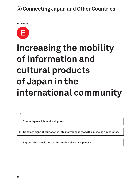**MISSION**



## **Increasing the mobility of information and cultural products of Japan in the international community**

**A C T I ON**

**1 Create Japan**'**s inbound web portal.** 

**2 Translate signs at tourist sites into many languages with a pleasing appearance.**

**3 Support the translation of information given in Japanese.**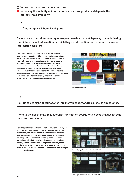$\bullet$  **Increasing the mobility of information and cultural products of Japan in the international community**

**A C T I ON**

#### **1 Create Japan**'**s inbound web portal.**

**Develop a web portal for non-Japanese people to learn about Japan by properly linking their interests and information to which they should be directed, in order to increase information mobility.** 

**To address the current situation where information for non-Japanese people is widely spread and accessing the necessary information is difficult, build a cross-industrial web platform where companies and government agencies work in cooperation to organize information on local communities, culture, entertainment, travel, etc. for non-Japanese people, and provide it in multiple languages. Establish quantitative standards for this web portal and linked websites, and build medium- to long-term PDCA cycles to verify the effects while sharing information on the causes of success and failure among business partners.** 



**http://www.nycgo.com/**

**A C T I ON**

**2 Translate signs at tourist sites into many languages with a pleasing appearance.**

**Promote the use of multilingual tourist information boards with a beautiful design that matches the scenery.**

**Both the protection and harmonization of urban scenery are promoted at many places in view of their value as tourist attractions, and tourist information boards will be made multilingual with a more functional design and in greater harmony with the scenery. Develop guidelines to serve as decision criteria for motivated managers and replace existing information boards at major tourist sites, other tourist sites, and at cultural assets by the Olympic year of 2020, in order to prepare an environment for visitors to enjoy the beauty of Japan.** 



**before (Signage for heritage) © NOSIGNER 2014**



**after (Signage for heritage) © NOSIGNER 2014**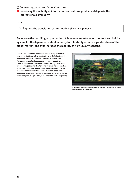$\bullet$  **Increasing the mobility of information and cultural products of Japan in the international community**

**A C T I ON**

**3 Support the translation of information given in Japanese.** 

**Encourage the multilingual production of Japanese entertainment content and build a system for the Japanese content industry to voluntarily acquire a greater share of the global market, and thus increase the mobility of high-quality content.** 

**Create an environment where people can enjoy Japanese content in English or other languages on a daily basis, and increase the opportunities for travelers to Japan, non-Japanese residents of Japan, and Japanese people to come in contact with Japanese content through television broadcasting at movie theaters, etc. To promote approaches from other countries, build a showcase website for posting Japanese content translated into other languages, and increase the subsidies for J-Lop business, etc. to provide the benefit of producing multilingual content from the beginning.**



**© NOSIGNER 2014 (This photo shows a modification of** "**Kinkakuji Golden Pavilion, Kyoto, July 2006**" **by David Sanz.)**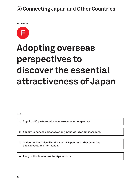**MISSION**



## **Adopting overseas perspectives to discover the essential attractiveness of Japan**

**A C T I ON**

**1 Appoint 100 partners who have an overseas perspective.**

**2 Appoint Japanese persons working in the world as ambassadors.** 

**3 Understand and visualize the view of Japan from other countries, and expectations from Japan.** 

**4 Analyze the demands of foreign tourists.**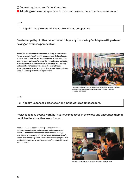**Adopting overseas perspectives to discover the essential attractiveness of Japan**

#### **A C T I ON**

#### **1 Appoint 100 partners who have an overseas perspective.**

**Create sympathy of other countries with Japan by discussing Cool Japan with partners having an overseas perspective.** 

**Select 100 non-Japanese individuals working in and outside Japan, who are influential and have good knowledge of Japan from various industries, and build a system of receiving their non-Japanese opinions. Perceive the sympathy and antipathy of non-Japanese people towards the Japanese by observing and considering together with them the strengths and attractiveness of Japan from objective perspectives, and then apply the findings to the Cool Japan policy.**



**Taken using a Canon PowerShot S90 at the first Students For Liberty European conference at the Katholieke Universiteit Leuven in Leuven, Belgium. © Gregory Rehmke 2011**

**A C T I ON**

**2 Appoint Japanese persons working in the world as ambassadors.** 

**Assist Japanese people working in various industries in the world and encourage them to publicize the attractiveness of Japan.** 

**Appoint Japanese people working in various fields of the world as Cool Japan ambassadors, and support their activities. Let these ambassadors share their knowledge with people in Japan and accelerate a rediscovery of Japan**'**s appeal by exchanging information with overseas people, while serving as hubs so as to strengthen Japan**'**s relationships with other countries.**



**Facebook Creator**'**s Meet-up (Aug. 29, 2011) © takuhitofujita 2011**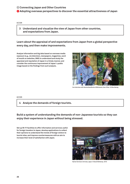**Adopting overseas perspectives to discover the essential attractiveness of Japan**

#### **A C T I ON**

**3 Understand and visualize the view of Japan from other countries, and expectations from Japan.** 

#### **Learn about the appraisal of and expectations from Japan from a global perspective every day, and then make improvements.**

**Analyze information and big data based on overseas media exposure (e.g., via television, newspapers, magazines, word of mouth on websites, SNS) to understand and study the appraisal and reputation of Japan in a timely manner, and consider the continuous improvement of Japan**'**s public image based on the findings from such analysis.** 



**live interview with Deutschlandfunk at Wikimania, User: Elian © Elke Wetzig**

**A C T I ON**

**4 Analyze the demands of foreign tourists.**

**Build a system of understanding the demands of non-Japanese tourists so they can enjoy their experience in Japan without being stressed.** 

**Set up Wi-Fi facilities to offer information and services useful for foreign travelers to Japan, develop applications to collect their opinions to understand the trends of foreign visitors to tourist sites, and improve countermeasures with an aim to increase their level of satisfaction with Japan.**



**Narita Terminal 2 Arrivals, Japan © David McKelvey 2010**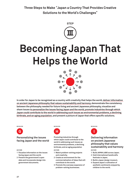**Three Steps to Make** "**Japan a Country That Provides Creative Solutions to the World**'**s Challenges**"



## **Becoming Japan That Helps the World**



**In order for Japan to be recognized as a country with creativity that helps the world, deliver information on ancient Japanese philosophy that values sustainability and harmony, demonstrate the consistency between the philosophy needed for future living and ancient Japanese philosophy, visualize and share issues to personalize the issues facing Japan and the world, promote industries through which Japan could contribute to the world in addressing such issues as environmental problems, a declining birthrate, and an aging population, and present a picture of Japan that offers specific solutions.**



#### **Personalizing the issues facing Japan and the world**

- **1 Visualize information on the issues facing Japan and the world.**
- **2 Present the government**'**s open data and incorporate design into government documents.**



**Promoting industries through which Japan could contribute to the world in addressing such issues as environmental problems, a declining birthrate, and an aging population A C T I ON A C T I ON A C T I ON**

- **1 Match problem-solving projects and creativity.**
- **2 Create an environment for the commercialization of ideas that will contribute to the world.**
- **3 Promote the overseas expansion of problem-solving businesses.**

**MISSION** MISSION MISSION MISSION MISSION

**Delivering information on ancient Japanese philosophy that values sustainability and harmony**

- **1 Build JAPAN LABO across Japan.**
- **2 Hold international handicrafts festivals in Japan.**
- **3 Build a Japan design museum.**
- **4 Expand Japan**'**s cultivation of aesthetic sentiments enjoyed by children to the world.**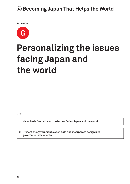**MISSION**



## **Personalizing the issues facing Japan and the world**

**A C T I ON**

**1 Visualize information on the issues facing Japan and the world.**

**2 Present the government**'**s open data and incorporate design into government documents.**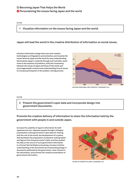#### **A C T I ON**

**1 Visualize information on the issues facing Japan and the world.**

#### **Japan will lead the world in the creative distribution of information on social issues.**

**Introduce information design that uses such creative technologies as infographics and animation, and visualize the issues faced by Japan and the world for easy understanding. Demonstrate Japan**'**s creativity through such activities, share clues to the solutions of problems, verify the consistency between the issues of Japan and those of the world, and encourage people**'**s interest and understanding of such issues to increase participation in the problem-solving process.** 



**SHIFTING TRADITIONAL CRAFT INDUSTRY © NOSIGNER 2014**

#### **A C T I ON**

**2 Present the government**'**s open data and incorporate design into government documents.**

**Promote the creative delivery of information to share the information held by the government with people in and outside Japan.** 

**Increase the usability of Japan**'**s information for both Japanese and non-Japanese people through a bilingual presentation of the government**'**s open data for sharing with the rest of the world, the development of a system that facilitates the preparation of pleasant-looking tables and figures from the government**'**s data, and then publish the data as the source of such government information in a format that facilitates processing. Increase intuitive understanding of the documents by incorporating design in documents published by the government, raise interest in the information, and promote the creative presentation of government information.** 



**HISTORY OF FORESTRY IN JAPAN © NOSIGNER 2014**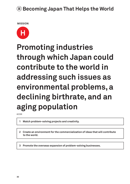**MISSION**



## **Promoting industries through which Japan could contribute to the world in addressing such issues as environmental problems, a declining birthrate, and an aging population**

**A C T I ON**

- **1 Match problem-solving projects and creativity.**
- **2 Create an environment for the commercialization of ideas that will contribute to the world.**
- **3 Promote the overseas expansion of problem-solving businesses.**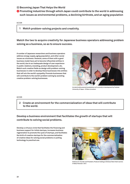**<sup>** $\bullet$ **</sup> Promoting industries through which Japan could contribute to the world in addressing such issues as environmental problems, a declining birthrate, and an aging population**

#### **A C T I ON**

**1 Match problem-solving projects and creativity.**

**Match the two to acquire creativity for Japanese business operators addressing problem solving as a business, so as to ensure success.**

**A number of Japanese researchers and business operators address energy supply, aging population, and other social issues as a business. However, some of them with a good business model have yet to become influential entities in the world, due to an inadequate design of user experience in public relations, branding, product development, etc. Match such creative fields as design with problem-solving businesses in order to develop these businesses into entities that will win the world**'**s sympathy. Promote businesses that will contribute to the world**'**s problem solving by assisting creative problem-solving businesses.** 



**An electrically powered exoskeleton suit currently in development by Tsukuba University of Japan. © Steve Jurvetson**

#### **A C T I ON**

**2 Create an environment for the commercialization of ideas that will contribute to the world.**

#### **Develop a business environment that facilitates the growth of startups that will contribute to solving social problems.**

**Develop a virtuous circle that facilitates the financing and business support for initial startups, increases business regeneration to promote the cycle of startups, and facilitates the birth of creative startups for the commercialization of creative ideas for solving social problems or putting technology to practical use.** 



**Embrace Co-founder and President, Products holding an Embrace Nest infant warmer. © Rahul Panicker 2012**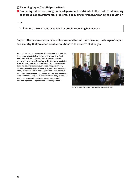**<sup>** $\bullet$ **</sup> Promoting industries through which Japan could contribute to the world in addressing such issues as environmental problems, a declining birthrate, and an aging population**

#### **A C T I ON**

**3 Promote the overseas expansion of problem-solving businesses.**

**Support the overseas expansion of businesses that will help develop the image of Japan as a country that provides creative solutions to the world**'**s challenges.** 

**Support the overseas expansion of businesses in industries that can contribute to the world**'**s problem solving. Food, digital content, nursing care, childcare, environmental problems, etc. are closely related to the government policies of each country, and efforts by the private sector alone are limited to solving issues in such areas. The government, therefore, cooperates with the private sector and engages in inter-governmental talks and negotiations. For instance, it promotes quality concerning food safety, the development of rules, and the building of a distribution base. The government also considers the removal of barriers to cooperation between Japanese companies and overseas partners.**



**20110803-OSEC-LSC-0033 © U.S. Department of Agriculture 2011**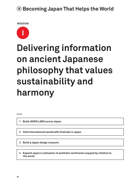**MISSION**



## **Delivering information on ancient Japanese philosophy that values sustainability and harmony**

**A C T I ON**

**1 Build JAPAN LABO across Japan.**

**2 Hold international handicrafts festivals in Japan.** 

**3 Build a Japan design museum.**

**4 Expand Japan**'**s cultivation of aesthetic sentiments enjoyed by children to the world.**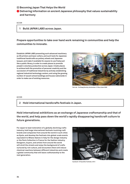**Delivering information on ancient Japanese philosophy that values sustainability and harmony**

| <b>ACTION</b> |                                |  |
|---------------|--------------------------------|--|
|               | Build JAPAN LABO across Japan. |  |

**Prepare opportunities to take over hand work remaining in communities and help the communities to innovate.**

**Establish JAPAN LABO presenting such advanced machinery as 3D printers and laser cutters, and such tools for Japanese traditional handicrafts as pottery wheels and Japanese lacquer, and make it available for anyone to use freely just like a public library, in order to create places to promote people**'**s voluntary production across Japan. Create places to achieve both the promotion of personal creativity and the succession of traditional industries by actively establishing regional industrial technology centers, and using the growing number of vacant school buildings and houses nationwide in order to make use of existing resources.**



**Fab Lab - De Waag Society, Amsterdam © Rory Hyde 2009**

#### **A C T I ON**

**2 Hold international handicrafts festivals in Japan.** 

**Hold international exhibitions as an exchange of Japanese craftsmanship and that of the world, and help pass down the world**'**s rapidly disappearing handicraft culture to future generations.**

**For Japan to lead restoration of a globally declining crafts industry, hold large international festivals involving craft brands and companies from around the world in such cities as Kyoto, and develop the festivals into global-scale events equivalent to Milano Salone in Italy for the design industry or the Paris Collection in France for the fashion industry. Designers, buyers, and artists from around the world will stroll the streets and enjoy the background of crafts nurtured by rich culture, and encounters there will induce chemical reactions between different industries and create a global community that will leave craftsmanship to the next generation.** 



**handwork © Kazuhiko Yoshioka 2013**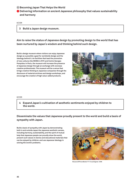**Delivering information on ancient Japanese philosophy that values sustainability and harmony**

### **A C T I ON 3 Build a Japan design museum.**

**Aim to raise the status of Japanese design by promoting design to the world that has been nurtured by Japan**'**s wisdom and thinking behind such design.**

**Build a design museum where visitors can enjoy Japanese design as a possible a goal for worldwide design and the ideology behind it. As facilities that lead the promotion of new cultures like MOMA in NYC and Centre Georges Pompidou in Paris, the museum will increase the presence of Japanese design through an exchange with overseas creative professionals. The museum will be a venue that brings creative thinking to Japanese companies through the disclosure of material archives and design workshops, and encourage the creation of high value-added products.** 



#### **A C T I ON**

**4 Expand Japan**'**s cultivation of aesthetic sentiments enjoyed by children to the world.** 

**Disseminate the values that Japanese proudly present to the world and build a basis of sympathy with Japan.**

**Build a basis of sympathy with Japan by demonstrating both in and outside Japan the Japanese aesthetic senses, including harmony, sustainability, and the spirit of mutual help that Japanese people can proudly show the world, present such values in stories and educational materials that can be enjoyed by children, and use Japanese ideology in solving the world**'**s problems.** 



**MuseumofPictureBooks11f © scarletgreen 2006**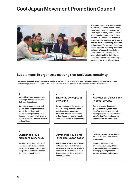### **Cool Japan Movement Promotion Council**



**The Council consists of nine regular members, including Tomomi Inada, the first minister in charge of the Cool Japan strategy, and a total of 34 guest speakers representing their respective professions. Repeated brainstorming has resulted in a new optimal form of collecting ideas and a unique venue for policy discussions, based on which extremely beneficial opinions of the participants have been collected. This proposal is a compilation of the definitions, missions, and actions of Cool Japan as suggested in the discussions.**

#### **Supplement: To organize a meeting that facilitates creativity**

**The Council designed a new form of discussion to encourage participants to freely and open-mindedly present their ideas. The following summarizes the procedure of the Council that can be used in future administrative discussions.**

#### **1**

**Assemble various members and encourage discussions beyond their positions/status.**

**Both the regular members and guests (consisting of individuals from different fields and countries) who participated in discussing topics in their areas of expertise create a venue to devise various ideas.**

#### **4**

#### **Switch the group members every hour.**

**Members other than the host of each table were switched once every hour to incorporate different perspectives and have a deeper discussion on each theme.** 

#### **Share the concepts of the Council.**

**During guidance at the beginning of the meeting, members were asked questions about the definition, mission, and actions of Cool Japan, in order to broadly share the direction of discussions.** 

#### **3**

#### **Have deeper discussions in small groups.**

**Each theme was discussed in groups consisting of no more than four members, so that all participants could discuss to their satisfaction. The members were selected from different fields.** 

#### **5**

**2**

#### **Summarize key points in the Cool Japan paper.**

**A large piece of paper with themes written on it was distributed to each table, where the participants free wrote the key points of their discussions in order to keep talks on the right track.**

#### **6**

**Have the members of each table present the outcomes of their discussions.** 

**The groups at each table presented a summary of their discussions based on their Cool Japan paper, and proposed specific missions and actions.**